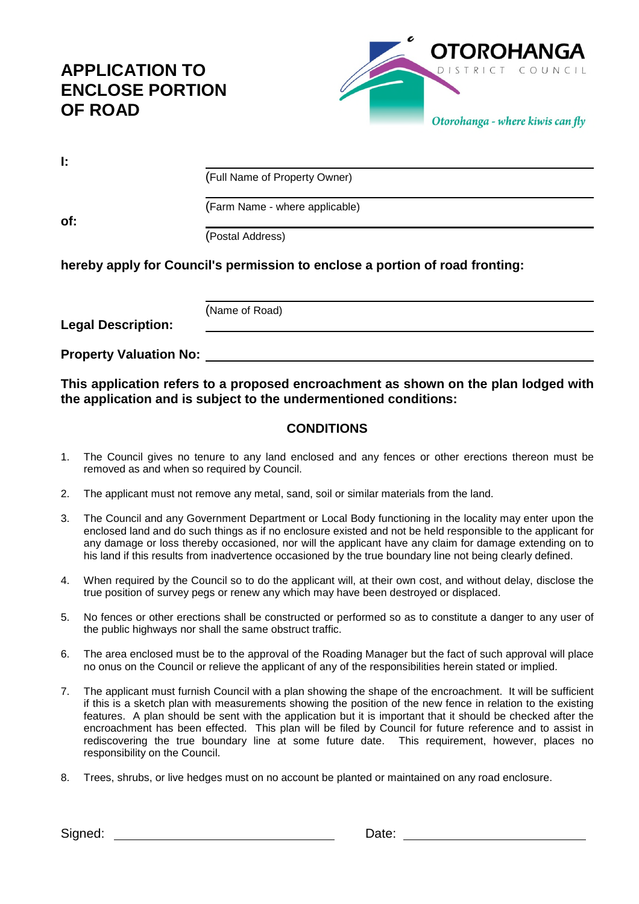# **APPLICATION TO ENCLOSE PORTION OF ROAD**



(Full Name of Property Owner)

(Farm Name - where applicable)

**of:**

(Postal Address)

**hereby apply for Council's permission to enclose a portion of road fronting:**

**Legal Description:**

(Name of Road)

**Property Valuation No:**

**This application refers to a proposed encroachment as shown on the plan lodged with the application and is subject to the undermentioned conditions:**

### **CONDITIONS**

- 1. The Council gives no tenure to any land enclosed and any fences or other erections thereon must be removed as and when so required by Council.
- 2. The applicant must not remove any metal, sand, soil or similar materials from the land.
- 3. The Council and any Government Department or Local Body functioning in the locality may enter upon the enclosed land and do such things as if no enclosure existed and not be held responsible to the applicant for any damage or loss thereby occasioned, nor will the applicant have any claim for damage extending on to his land if this results from inadvertence occasioned by the true boundary line not being clearly defined.
- 4. When required by the Council so to do the applicant will, at their own cost, and without delay, disclose the true position of survey pegs or renew any which may have been destroyed or displaced.
- 5. No fences or other erections shall be constructed or performed so as to constitute a danger to any user of the public highways nor shall the same obstruct traffic.
- 6. The area enclosed must be to the approval of the Roading Manager but the fact of such approval will place no onus on the Council or relieve the applicant of any of the responsibilities herein stated or implied.
- 7. The applicant must furnish Council with a plan showing the shape of the encroachment. It will be sufficient if this is a sketch plan with measurements showing the position of the new fence in relation to the existing features. A plan should be sent with the application but it is important that it should be checked after the encroachment has been effected. This plan will be filed by Council for future reference and to assist in rediscovering the true boundary line at some future date. This requirement, however, places no responsibility on the Council.
- 8. Trees, shrubs, or live hedges must on no account be planted or maintained on any road enclosure.

Signed: Signed: Signed: Signed: Date: Date: 2014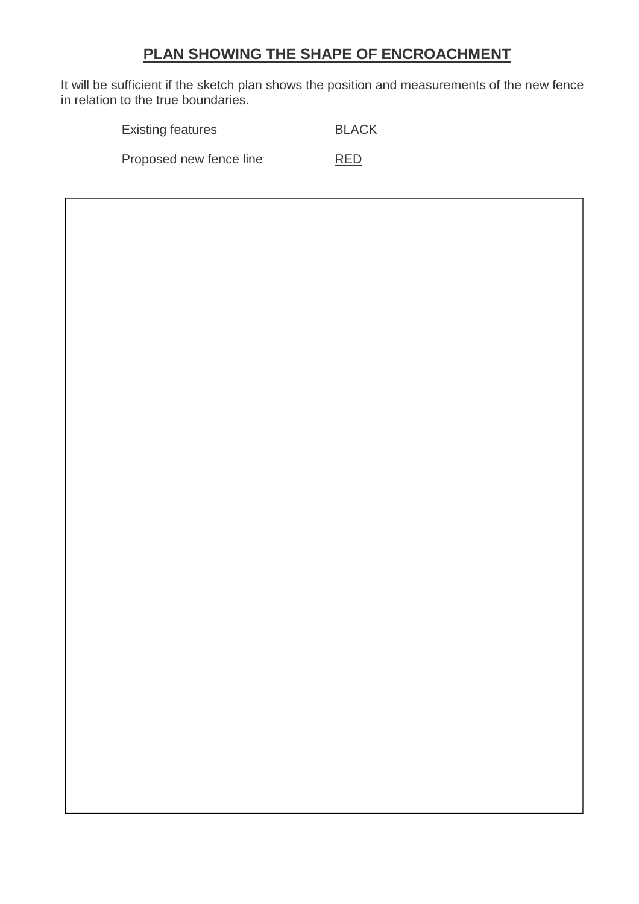## **PLAN SHOWING THE SHAPE OF ENCROACHMENT**

It will be sufficient if the sketch plan shows the position and measurements of the new fence in relation to the true boundaries.

| <b>Existing features</b> | <b>BLACK</b> |
|--------------------------|--------------|
| Proposed new fence line  | <b>RED</b>   |